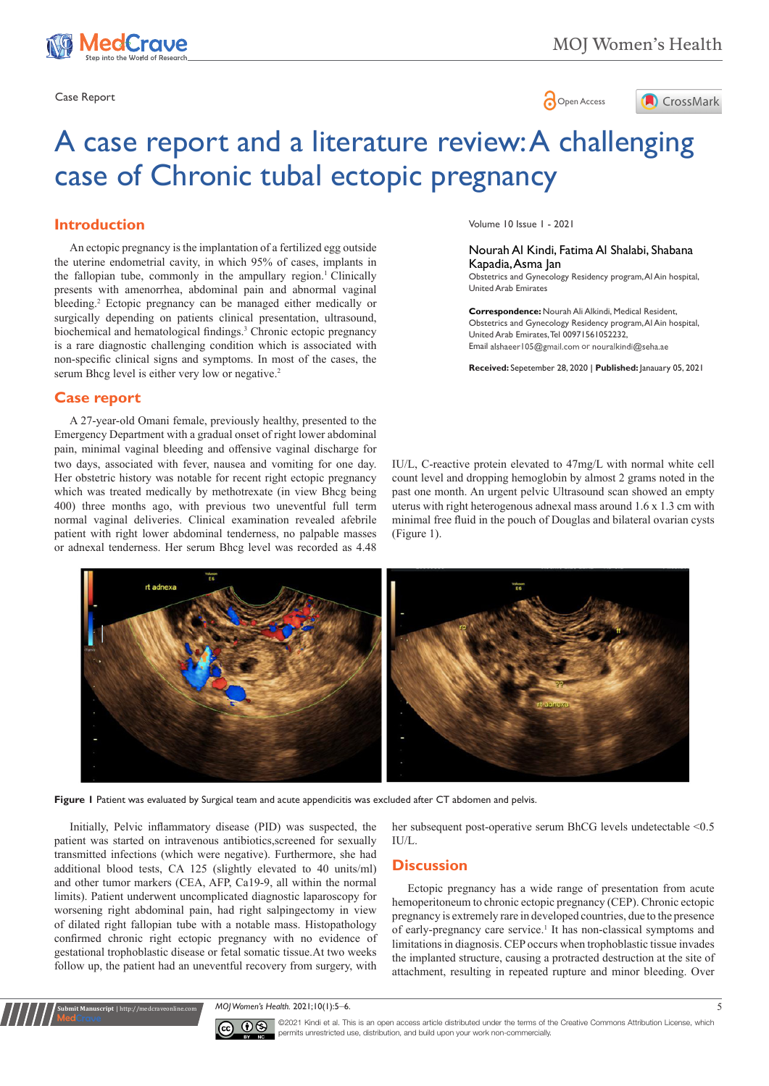

Case Report **Case Report** 



# A case report and a literature review: A challenging case of Chronic tubal ectopic pregnancy

# **Introduction**

An ectopic pregnancy is the implantation of a fertilized egg outside the uterine endometrial cavity, in which 95% of cases, implants in the fallopian tube, commonly in the ampullary region.<sup>1</sup> Clinically presents with amenorrhea, abdominal pain and abnormal vaginal bleeding.<sup>2</sup> Ectopic pregnancy can be managed either medically or surgically depending on patients clinical presentation, ultrasound, biochemical and hematological findings.<sup>3</sup> Chronic ectopic pregnancy is a rare diagnostic challenging condition which is associated with non-specific clinical signs and symptoms. In most of the cases, the serum Bhcg level is either very low or negative.<sup>2</sup>

## **Case report**

two days, associated with fever, nausea and vomiting for one day. Her obstetric history was notable for recent right ectopic pregnancy which was treated medically by methotrexate (in view Bhcg being 400) three months ago, with previous two uneventful full term normal vaginal deliveries. Clinical examination revealed afebrile patient with right lower abdominal tenderness, no palpable masses or adnexal tenderness. Her serum Bhcg level was recorded as 4.48 A 27-year-old Omani female, previously healthy, presented to the Emergency Department with a gradual onset of right lower abdominal pain, minimal vaginal bleeding and offensive vaginal discharge for Volume 10 Issue 1 - 2021

Nourah Al Kindi, Fatima Al Shalabi, Shabana Kapadia, Asma Jan Obstetrics and Gynecology Residency program, Al Ain hospital, United Arab Emirates

**Correspondence:** Nourah Ali Alkindi, Medical Resident, Obstetrics and Gynecology Residency program, Al Ain hospital, United Arab Emirates, Tel 00971561052232, Email alshaeer105@gmail.com or nouralkindi@seha.ae

**Received:** Sepetember 28, 2020 | **Published:** Janauary 05, 2021

IU/L, C-reactive protein elevated to 47mg/L with normal white cell count level and dropping hemoglobin by almost 2 grams noted in the past one month. An urgent pelvic Ultrasound scan showed an empty uterus with right heterogenous adnexal mass around 1.6 x 1.3 cm with minimal free fluid in the pouch of Douglas and bilateral ovarian cysts (Figure 1).



**Figure 1** Patient was evaluated by Surgical team and acute appendicitis was excluded after CT abdomen and pelvis.

Initially, Pelvic inflammatory disease (PID) was suspected, the patient was started on intravenous antibiotics,screened for sexually transmitted infections (which were negative). Furthermore, she had additional blood tests, CA 125 (slightly elevated to 40 units/ml) and other tumor markers (CEA, AFP, Ca19-9, all within the normal limits). Patient underwent uncomplicated diagnostic laparoscopy for worsening right abdominal pain, had right salpingectomy in view of dilated right fallopian tube with a notable mass. Histopathology confirmed chronic right ectopic pregnancy with no evidence of gestational trophoblastic disease or fetal somatic tissue.At two weeks follow up, the patient had an uneventful recovery from surgery, with

**Submit Manuscript** | http://medcraveonline.com

her subsequent post-operative serum BhCG levels undetectable <0.5 IU/L.

## **Discussion**

Ectopic pregnancy has a wide range of presentation from acute hemoperitoneum to chronic ectopic pregnancy (CEP). Chronic ectopic pregnancy is extremely rare in developed countries, due to the presence of early-pregnancy care service.<sup>1</sup> It has non-classical symptoms and limitations in diagnosis. CEP occurs when trophoblastic tissue invades the implanted structure, causing a protracted destruction at the site of attachment, resulting in repeated rupture and minor bleeding. Over

*MOJ Women's Health.* 2021;10(1):5‒6. 5



©2021 Kindi et al. This is an open access article distributed under the terms of the [Creative Commons Attribution License](https://creativecommons.org/licenses/by-nc/4.0/), which permits unrestricted use, distribution, and build upon your work non-commercially.